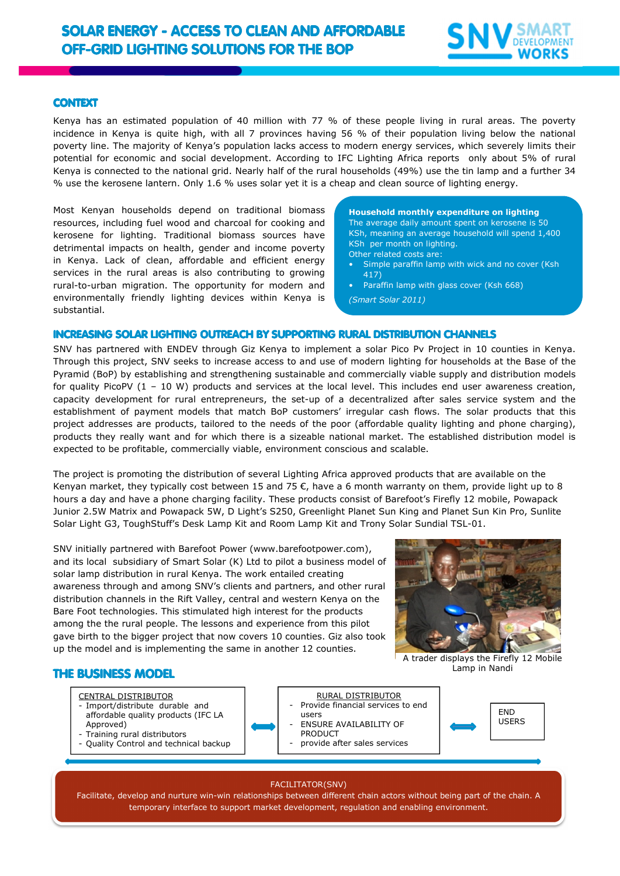

## CONTEXT

Kenya has an estimated population of 40 million with 77 % of these people living in rural areas. The poverty incidence in Kenya is quite high, with all 7 provinces having 56 % of their population living below the national poverty line. The majority of Kenya's population lacks access to modern energy services, which severely limits their potential for economic and social development. According to IFC Lighting Africa reports only about 5% of rural Kenya is connected to the national grid. Nearly half of the rural households (49%) use the tin lamp and a further 34 % use the kerosene lantern. Only 1.6 % uses solar yet it is a cheap and clean source of lighting energy.

Most Kenyan households depend on traditional biomass resources, including fuel wood and charcoal for cooking and kerosene for lighting. Traditional biomass sources have detrimental impacts on health, gender and income poverty in Kenya. Lack of clean, affordable and efficient energy services in the rural areas is also contributing to growing rural-to-urban migration. The opportunity for modern and environmentally friendly lighting devices within Kenya is substantial.

**Household monthly expenditure on lighting**  The average daily amount spent on kerosene is 50 KSh, meaning an average household will spend 1,400 KSh per month on lighting. Other related costs are:

- Simple paraffin lamp with wick and no cover (Ksh 417)
- Paraffin lamp with glass cover (Ksh 668)
- *(Smart Solar 2011)*

### INCREASING SOLAR LIGHTING OUTREACH BY SUPPORTING RURAL DISTRIBUTION CHANNELS

SNV has partnered with ENDEV through Giz Kenya to implement a solar Pico Pv Project in 10 counties in Kenya. Through this project, SNV seeks to increase access to and use of modern lighting for households at the Base of the Pyramid (BoP) by establishing and strengthening sustainable and commercially viable supply and distribution models for quality PicoPV (1 – 10 W) products and services at the local level. This includes end user awareness creation, capacity development for rural entrepreneurs, the set-up of a decentralized after sales service system and the establishment of payment models that match BoP customers' irregular cash flows. The solar products that this project addresses are products, tailored to the needs of the poor (affordable quality lighting and phone charging), products they really want and for which there is a sizeable national market. The established distribution model is expected to be profitable, commercially viable, environment conscious and scalable.

The project is promoting the distribution of several Lighting Africa approved products that are available on the Kenyan market, they typically cost between 15 and 75  $\epsilon$ , have a 6 month warranty on them, provide light up to 8 hours a day and have a phone charging facility. These products consist of Barefoot's Firefly 12 mobile, Powapack Junior 2.5W Matrix and Powapack 5W, D Light's S250, Greenlight Planet Sun King and Planet Sun Kin Pro, Sunlite Solar Light G3, ToughStuff's Desk Lamp Kit and Room Lamp Kit and Trony Solar Sundial TSL-01.

SNV initially partnered with Barefoot Power (www.barefootpower.com), and its local subsidiary of Smart Solar (K) Ltd to pilot a business model of solar lamp distribution in rural Kenya. The work entailed creating awareness through and among SNV's clients and partners, and other rural distribution channels in the Rift Valley, central and western Kenya on the Bare Foot technologies. This stimulated high interest for the products among the the rural people. The lessons and experience from this pilot gave birth to the bigger project that now covers 10 counties. Giz also took up the model and is implementing the same in another 12 counties.



A trader displays the Firefly 12 Mobile Lamp in Nandi

# THE BUSINESS MODEL

- CENTRAL DISTRIBUTOR
- Import/distribute durable and affordable quality products (IFC LA Approved)
- Training rural distributors
- Quality Control and technical backup

RURAL DISTRIBUTOR

- Provide financial services to end users
- ENSURE AVAILABILITY OF
- PRODUCT
- provide after sales services



#### FACILITATOR(SNV)

Facilitate, develop and nurture win-win relationships between different chain actors without being part of the chain. A temporary interface to support market development, regulation and enabling environment.